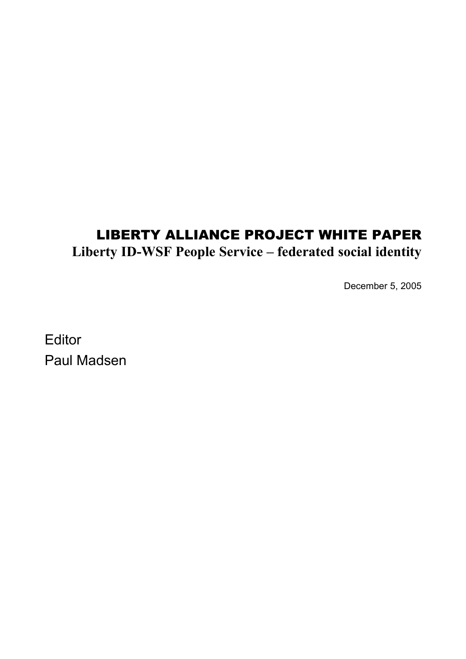# LIBERTY ALLIANCE PROJECT WHITE PAPER **Liberty ID-WSF People Service – federated social identity**

December 5, 2005

**Editor** Paul Madsen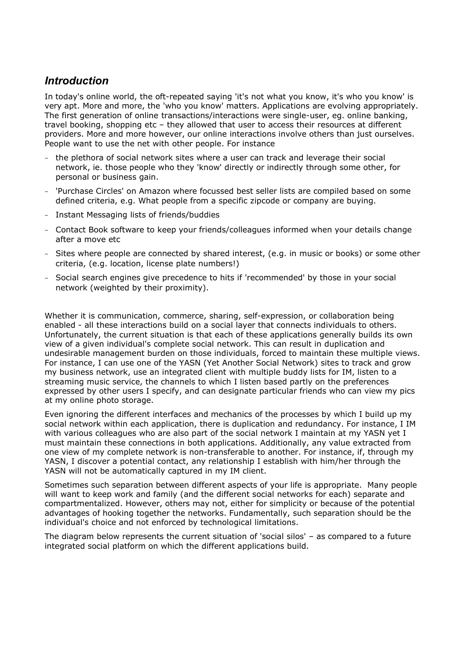# *Introduction*

In today's online world, the oft-repeated saying 'it's not what you know, it's who you know' is very apt. More and more, the 'who you know' matters. Applications are evolving appropriately. The first generation of online transactions/interactions were single-user, eg. online banking, travel booking, shopping etc - they allowed that user to access their resources at different providers. More and more however, our online interactions involve others than just ourselves. People want to use the net with other people. For instance

- the plethora of social network sites where a user can track and leverage their social network, ie. those people who they 'know' directly or indirectly through some other, for personal or business gain.
- 'Purchase Circles' on Amazon where focussed best seller lists are compiled based on some defined criteria, e.g. What people from a specific zipcode or company are buying.
- Instant Messaging lists of friends/buddies
- Contact Book software to keep your friends/colleagues informed when your details change after a move etc
- Sites where people are connected by shared interest, (e.g. in music or books) or some other criteria, (e.g. location, license plate numbers!)
- Social search engines give precedence to hits if 'recommended' by those in your social network (weighted by their proximity).

Whether it is communication, commerce, sharing, self-expression, or collaboration being enabled - all these interactions build on a social layer that connects individuals to others. Unfortunately, the current situation is that each of these applications generally builds its own view of a given individual's complete social network. This can result in duplication and undesirable management burden on those individuals, forced to maintain these multiple views. For instance, I can use one of the YASN (Yet Another Social Network) sites to track and grow my business network, use an integrated client with multiple buddy lists for IM, listen to a streaming music service, the channels to which I listen based partly on the preferences expressed by other users I specify, and can designate particular friends who can view my pics at my online photo storage.

Even ignoring the different interfaces and mechanics of the processes by which I build up my social network within each application, there is duplication and redundancy. For instance, I IM with various colleagues who are also part of the social network I maintain at my YASN yet I must maintain these connections in both applications. Additionally, any value extracted from one view of my complete network is non-transferable to another. For instance, if, through my YASN, I discover a potential contact, any relationship I establish with him/her through the YASN will not be automatically captured in my IM client.

Sometimes such separation between different aspects of your life is appropriate. Many people will want to keep work and family (and the different social networks for each) separate and compartmentalized. However, others may not, either for simplicity or because of the potential advantages of hooking together the networks. Fundamentally, such separation should be the individual's choice and not enforced by technological limitations.

The diagram below represents the current situation of 'social silos' – as compared to a future integrated social platform on which the different applications build.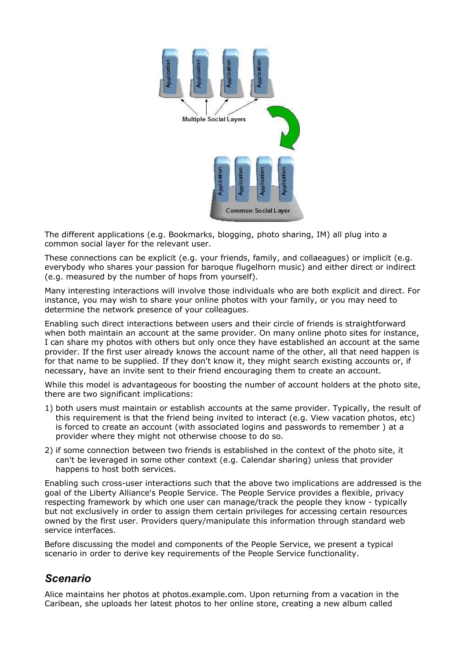

The different applications (e.g. Bookmarks, blogging, photo sharing, IM) all plug into a common social layer for the relevant user.

These connections can be explicit (e.g. your friends, family, and collaeagues) or implicit (e.g. everybody who shares your passion for baroque flugelhorn music) and either direct or indirect (e.g. measured by the number of hops from yourself).

Many interesting interactions will involve those individuals who are both explicit and direct. For instance, you may wish to share your online photos with your family, or you may need to determine the network presence of your colleagues.

Enabling such direct interactions between users and their circle of friends is straightforward when both maintain an account at the same provider. On many online photo sites for instance, I can share my photos with others but only once they have established an account at the same provider. If the first user already knows the account name of the other, all that need happen is for that name to be supplied. If they don't know it, they might search existing accounts or, if necessary, have an invite sent to their friend encouraging them to create an account.

While this model is advantageous for boosting the number of account holders at the photo site, there are two significant implications:

- 1) both users must maintain or establish accounts at the same provider. Typically, the result of this requirement is that the friend being invited to interact (e.g. View vacation photos, etc) is forced to create an account (with associated logins and passwords to remember ) at a provider where they might not otherwise choose to do so.
- 2) if some connection between two friends is established in the context of the photo site, it can't be leveraged in some other context (e.g. Calendar sharing) unless that provider happens to host both services.

Enabling such cross-user interactions such that the above two implications are addressed is the goal of the Liberty Alliance's People Service. The People Service provides a flexible, privacy respecting framework by which one user can manage/track the people they know - typically but not exclusively in order to assign them certain privileges for accessing certain resources owned by the first user. Providers query/manipulate this information through standard web service interfaces.

Before discussing the model and components of the People Service, we present a typical scenario in order to derive key requirements of the People Service functionality.

## *Scenario*

Alice maintains her photos at photos.example.com. Upon returning from a vacation in the Caribean, she uploads her latest photos to her online store, creating a new album called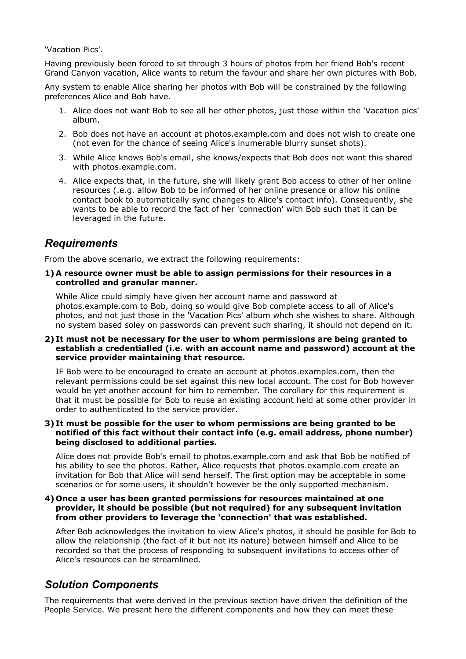'Vacation Pics'.

Having previously been forced to sit through 3 hours of photos from her friend Bob's recent Grand Canyon vacation, Alice wants to return the favour and share her own pictures with Bob.

Any system to enable Alice sharing her photos with Bob will be constrained by the following preferences Alice and Bob have.

- 1. Alice does not want Bob to see all her other photos, just those within the 'Vacation pics' album.
- 2. Bob does not have an account at photos.example.com and does not wish to create one (not even for the chance of seeing Alice's inumerable blurry sunset shots).
- 3. While Alice knows Bob's email, she knows/expects that Bob does not want this shared with photos.example.com.
- 4. Alice expects that, in the future, she will likely grant Bob access to other of her online resources (.e.g. allow Bob to be informed of her online presence or allow his online contact book to automatically sync changes to Alice's contact info). Consequently, she wants to be able to record the fact of her 'connection' with Bob such that it can be leveraged in the future.

# *Requirements*

From the above scenario, we extract the following requirements:

**1) A resource owner must be able to assign permissions for their resources in a controlled and granular manner.**

While Alice could simply have given her account name and password at photos.example.com to Bob, doing so would give Bob complete access to all of Alice's photos, and not just those in the 'Vacation Pics' album whch she wishes to share. Although no system based soley on passwords can prevent such sharing, it should not depend on it.

#### **2) It must not be necessary for the user to whom permissions are being granted to establish a credentialled (i.e. with an account name and password) account at the service provider maintaining that resource.**

IF Bob were to be encouraged to create an account at photos.examples.com, then the relevant permissions could be set against this new local account. The cost for Bob however would be yet another account for him to remember. The corollary for this requirement is that it must be possible for Bob to reuse an existing account held at some other provider in order to authenticated to the service provider.

#### **3) It must be possible for the user to whom permissions are being granted to be notified of this fact without their contact info (e.g. email address, phone number) being disclosed to additional parties.**

Alice does not provide Bob's email to photos.example.com and ask that Bob be notified of his ability to see the photos. Rather, Alice requests that photos.example.com create an invitation for Bob that Alice will send herself. The first option may be acceptable in some scenarios or for some users, it shouldn't however be the only supported mechanism.

#### **4) Once a user has been granted permissions for resources maintained at one provider, it should be possible (but not required) for any subsequent invitation from other providers to leverage the 'connection' that was established.**

After Bob acknowledges the invitation to view Alice's photos, it should be posible for Bob to allow the relationship (the fact of it but not its nature) between himself and Alice to be recorded so that the process of responding to subsequent invitations to access other of Alice's resources can be streamlined.

# *Solution Components*

The requirements that were derived in the previous section have driven the definition of the People Service. We present here the different components and how they can meet these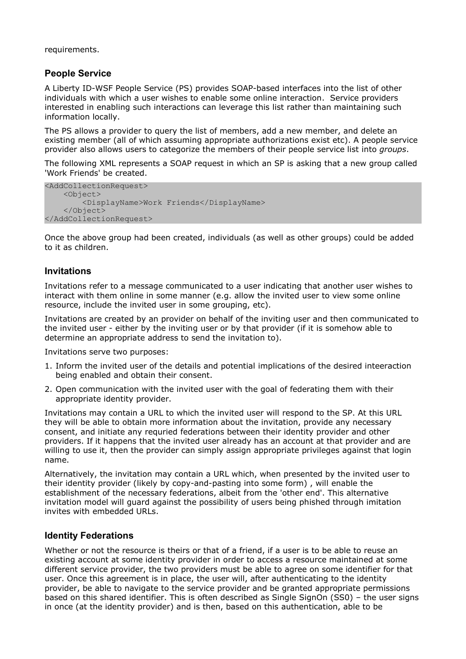requirements.

### **People Service**

A Liberty ID-WSF People Service (PS) provides SOAP-based interfaces into the list of other individuals with which a user wishes to enable some online interaction. Service providers interested in enabling such interactions can leverage this list rather than maintaining such information locally.

The PS allows a provider to query the list of members, add a new member, and delete an existing member (all of which assuming appropriate authorizations exist etc). A people service provider also allows users to categorize the members of their people service list into *groups*.

The following XML represents a SOAP request in which an SP is asking that a new group called 'Work Friends' be created.

```
<AddCollectionRequest>
    <Object>
        <DisplayName>Work Friends</DisplayName>
    </Object>
</AddCollectionRequest>
```
Once the above group had been created, individuals (as well as other groups) could be added to it as children.

#### **Invitations**

Invitations refer to a message communicated to a user indicating that another user wishes to interact with them online in some manner (e.g. allow the invited user to view some online resource, include the invited user in some grouping, etc).

Invitations are created by an provider on behalf of the inviting user and then communicated to the invited user - either by the inviting user or by that provider (if it is somehow able to determine an appropriate address to send the invitation to).

Invitations serve two purposes:

- 1. Inform the invited user of the details and potential implications of the desired inteeraction being enabled and obtain their consent.
- 2. Open communication with the invited user with the goal of federating them with their appropriate identity provider.

Invitations may contain a URL to which the invited user will respond to the SP. At this URL they will be able to obtain more information about the invitation, provide any necessary consent, and initiate any requried federations between their identity provider and other providers. If it happens that the invited user already has an account at that provider and are willing to use it, then the provider can simply assign appropriate privileges against that login name.

Alternatively, the invitation may contain a URL which, when presented by the invited user to their identity provider (likely by copy-and-pasting into some form) , will enable the establishment of the necessary federations, albeit from the 'other end'. This alternative invitation model will guard against the possibility of users being phished through imitation invites with embedded URLs.

#### **Identity Federations**

Whether or not the resource is theirs or that of a friend, if a user is to be able to reuse an existing account at some identity provider in order to access a resource maintained at some different service provider, the two providers must be able to agree on some identifier for that user. Once this agreement is in place, the user will, after authenticating to the identity provider, be able to navigate to the service provider and be granted appropriate permissions based on this shared identifier. This is often described as Single SignOn (SS0) – the user signs in once (at the identity provider) and is then, based on this authentication, able to be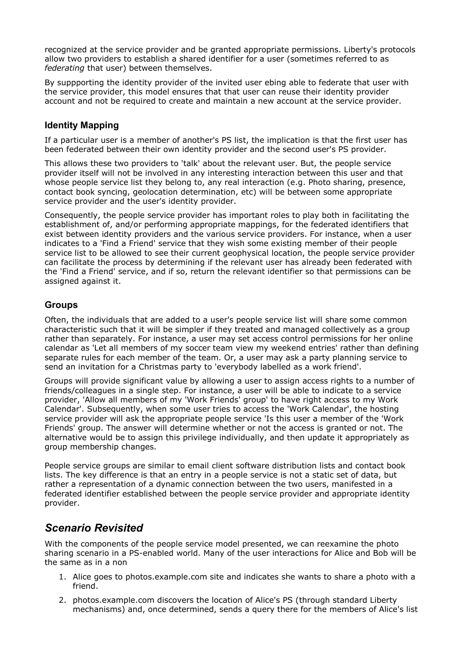recognized at the service provider and be granted appropriate permissions. Liberty's protocols allow two providers to establish a shared identifier for a user (sometimes referred to as *federating* that user) between themselves.

By suppporting the identity provider of the invited user ebing able to federate that user with the service provider, this model ensures that that user can reuse their identity provider account and not be required to create and maintain a new account at the service provider.

### **Identity Mapping**

If a particular user is a member of another's PS list, the implication is that the first user has been federated between their own identity provider and the second user's PS provider.

This allows these two providers to 'talk' about the relevant user. But, the people service provider itself will not be involved in any interesting interaction between this user and that whose people service list they belong to, any real interaction (e.g. Photo sharing, presence, contact book syncing, geolocation determination, etc) will be between some appropriate service provider and the user's identity provider.

Consequently, the people service provider has important roles to play both in facilitating the establishment of, and/or performing appropriate mappings, for the federated identifiers that exist between identity providers and the various service providers. For instance, when a user indicates to a 'Find a Friend' service that they wish some existing member of their people service list to be allowed to see their current geophysical location, the people service provider can facilitate the process by determining if the relevant user has already been federated with the 'Find a Friend' service, and if so, return the relevant identifier so that permissions can be assigned against it.

#### **Groups**

Often, the individuals that are added to a user's people service list will share some common characteristic such that it will be simpler if they treated and managed collectively as a group rather than separately. For instance, a user may set access control permissions for her online calendar as 'Let all members of my soccer team view my weekend entries' rather than defining separate rules for each member of the team. Or, a user may ask a party planning service to send an invitation for a Christmas party to 'everybody labelled as a work friend'.

Groups will provide significant value by allowing a user to assign access rights to a number of friends/colleagues in a single step. For instance, a user will be able to indicate to a service provider, 'Allow all members of my 'Work Friends' group' to have right access to my Work Calendar'. Subsequently, when some user tries to access the 'Work Calendar', the hosting service provider will ask the appropriate people service 'Is this user a member of the 'Work Friends' group. The answer will determine whether or not the access is granted or not. The alternative would be to assign this privilege individually, and then update it appropriately as group membership changes.

People service groups are similar to email client software distribution lists and contact book lists. The key difference is that an entry in a people service is not a static set of data, but rather a representation of a dynamic connection between the two users, manifested in a federated identifier established between the people service provider and appropriate identity provider.

# *Scenario Revisited*

With the components of the people service model presented, we can reexamine the photo sharing scenario in a PS-enabled world. Many of the user interactions for Alice and Bob will be the same as in a non

- 1. Alice goes to photos.example.com site and indicates she wants to share a photo with a friend.
- 2. photos.example.com discovers the location of Alice's PS (through standard Liberty mechanisms) and, once determined, sends a query there for the members of Alice's list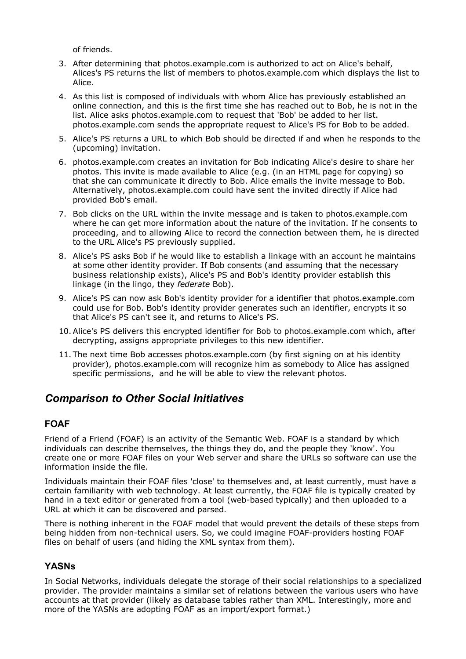of friends.

- 3. After determining that photos.example.com is authorized to act on Alice's behalf, Alices's PS returns the list of members to photos.example.com which displays the list to Alice.
- 4. As this list is composed of individuals with whom Alice has previously established an online connection, and this is the first time she has reached out to Bob, he is not in the list. Alice asks photos.example.com to request that 'Bob' be added to her list. photos.example.com sends the appropriate request to Alice's PS for Bob to be added.
- 5. Alice's PS returns a URL to which Bob should be directed if and when he responds to the (upcoming) invitation.
- 6. photos.example.com creates an invitation for Bob indicating Alice's desire to share her photos. This invite is made available to Alice (e.g. (in an HTML page for copying) so that she can communicate it directly to Bob. Alice emails the invite message to Bob. Alternatively, photos.example.com could have sent the invited directly if Alice had provided Bob's email.
- 7. Bob clicks on the URL within the invite message and is taken to photos.example.com where he can get more information about the nature of the invitation. If he consents to proceeding, and to allowing Alice to record the connection between them, he is directed to the URL Alice's PS previously supplied.
- 8. Alice's PS asks Bob if he would like to establish a linkage with an account he maintains at some other identity provider. If Bob consents (and assuming that the necessary business relationship exists), Alice's PS and Bob's identity provider establish this linkage (in the lingo, they *federate* Bob).
- 9. Alice's PS can now ask Bob's identity provider for a identifier that photos.example.com could use for Bob. Bob's identity provider generates such an identifier, encrypts it so that Alice's PS can't see it, and returns to Alice's PS.
- 10. Alice's PS delivers this encrypted identifier for Bob to photos.example.com which, after decrypting, assigns appropriate privileges to this new identifier.
- 11. The next time Bob accesses photos.example.com (by first signing on at his identity provider), photos.example.com will recognize him as somebody to Alice has assigned specific permissions, and he will be able to view the relevant photos.

# *Comparison to Other Social Initiatives*

#### **FOAF**

Friend of a Friend (FOAF) is an activity of the Semantic Web. FOAF is a standard by which individuals can describe themselves, the things they do, and the people they 'know'. You create one or more FOAF files on your Web server and share the URLs so software can use the information inside the file.

Individuals maintain their FOAF files 'close' to themselves and, at least currently, must have a certain familiarity with web technology. At least currently, the FOAF file is typically created by hand in a text editor or generated from a tool (web-based typically) and then uploaded to a URL at which it can be discovered and parsed.

There is nothing inherent in the FOAF model that would prevent the details of these steps from being hidden from non-technical users. So, we could imagine FOAF-providers hosting FOAF files on behalf of users (and hiding the XML syntax from them).

## **YASNs**

In Social Networks, individuals delegate the storage of their social relationships to a specialized provider. The provider maintains a similar set of relations between the various users who have accounts at that provider (likely as database tables rather than XML. Interestingly, more and more of the YASNs are adopting FOAF as an import/export format.)